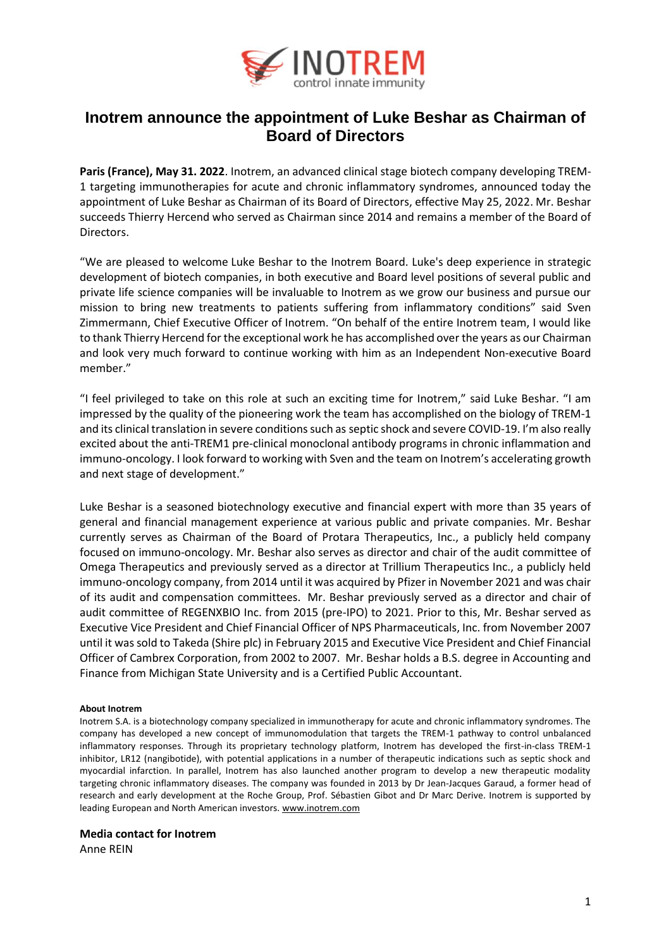

## **Inotrem announce the appointment of Luke Beshar as Chairman of Board of Directors**

**Paris (France), May 31. 2022**[. Inotrem,](http://www.inotrem.com/) an advanced clinical stage biotech company developing TREM-1 targeting immunotherapies for acute and chronic inflammatory syndromes, announced today the appointment of Luke Beshar as Chairman of its Board of Directors, effective May 25, 2022. Mr. Beshar succeeds Thierry Hercend who served as Chairman since 2014 and remains a member of the Board of **Directors** 

"We are pleased to welcome Luke Beshar to the Inotrem Board. Luke's deep experience in strategic development of biotech companies, in both executive and Board level positions of several public and private life science companies will be invaluable to Inotrem as we grow our business and pursue our mission to bring new treatments to patients suffering from inflammatory conditions" said Sven Zimmermann, Chief Executive Officer of Inotrem. "On behalf of the entire Inotrem team, I would like to thank Thierry Hercend for the exceptional work he has accomplished over the years as our Chairman and look very much forward to continue working with him as an Independent Non-executive Board member."

"I feel privileged to take on this role at such an exciting time for Inotrem," said Luke Beshar. "I am impressed by the quality of the pioneering work the team has accomplished on the biology of TREM-1 and its clinical translation in severe conditions such as septic shock and severe COVID-19. I'm also really excited about the anti-TREM1 pre-clinical monoclonal antibody programs in chronic inflammation and immuno-oncology. I look forward to working with Sven and the team on Inotrem's accelerating growth and next stage of development."

Luke Beshar is a seasoned biotechnology executive and financial expert with more than 35 years of general and financial management experience at various public and private companies. Mr. Beshar currently serves as Chairman of the Board of Protara Therapeutics, Inc., a publicly held company focused on immuno-oncology. Mr. Beshar also serves as director and chair of the audit committee of Omega Therapeutics and previously served as a director at Trillium Therapeutics Inc., a publicly held immuno-oncology company, from 2014 until it was acquired by Pfizer in November 2021 and was chair of its audit and compensation committees. Mr. Beshar previously served as a director and chair of audit committee of REGENXBIO Inc. from 2015 (pre-IPO) to 2021. Prior to this, Mr. Beshar served as Executive Vice President and Chief Financial Officer of NPS Pharmaceuticals, Inc. from November 2007 until it was sold to Takeda (Shire plc) in February 2015 and Executive Vice President and Chief Financial Officer of Cambrex Corporation, from 2002 to 2007. Mr. Beshar holds a B.S. degree in Accounting and Finance from Michigan State University and is a Certified Public Accountant.

## **About Inotrem**

Inotrem S.A. is a biotechnology company specialized in immunotherapy for acute and chronic inflammatory syndromes. The company has developed a new concept of immunomodulation that targets the TREM-1 pathway to control unbalanced inflammatory responses. Through its proprietary technology platform, Inotrem has developed the first-in-class TREM-1 inhibitor, LR12 (nangibotide), with potential applications in a number of therapeutic indications such as septic shock and myocardial infarction. In parallel, Inotrem has also launched another program to develop a new therapeutic modality targeting chronic inflammatory diseases. The company was founded in 2013 by Dr Jean-Jacques Garaud, a former head of research and early development at the Roche Group, Prof. Sébastien Gibot and Dr Marc Derive. Inotrem is supported by leading European and North American investors. [www.inotrem.com](http://www.inotrem.com/)

## **Media contact for Inotrem**

Anne REIN